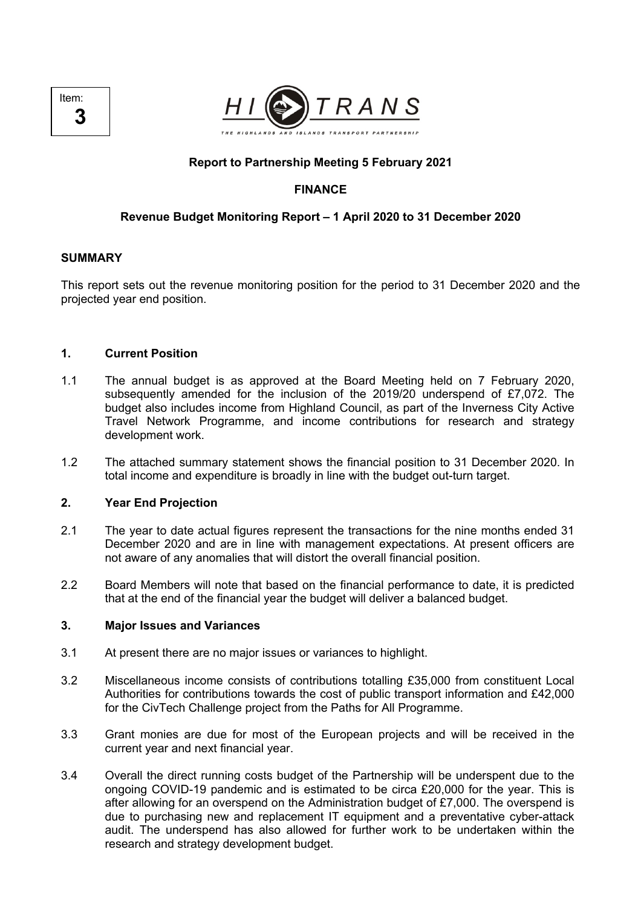



## **Report to Partnership Meeting 5 February 2021**

# **FINANCE**

### **Revenue Budget Monitoring Report – 1 April 2020 to 31 December 2020**

#### **SUMMARY**

This report sets out the revenue monitoring position for the period to 31 December 2020 and the projected year end position.

### **1. Current Position**

- 1.1 The annual budget is as approved at the Board Meeting held on 7 February 2020, subsequently amended for the inclusion of the 2019/20 underspend of £7,072. The budget also includes income from Highland Council, as part of the Inverness City Active Travel Network Programme, and income contributions for research and strategy development work.
- 1.2 The attached summary statement shows the financial position to 31 December 2020. In total income and expenditure is broadly in line with the budget out-turn target.

### **2. Year End Projection**

- 2.1 The year to date actual figures represent the transactions for the nine months ended 31 December 2020 and are in line with management expectations. At present officers are not aware of any anomalies that will distort the overall financial position.
- 2.2 Board Members will note that based on the financial performance to date, it is predicted that at the end of the financial year the budget will deliver a balanced budget.

#### **3. Major Issues and Variances**

- 3.1 At present there are no major issues or variances to highlight.
- 3.2 Miscellaneous income consists of contributions totalling £35,000 from constituent Local Authorities for contributions towards the cost of public transport information and £42,000 for the CivTech Challenge project from the Paths for All Programme.
- 3.3 Grant monies are due for most of the European projects and will be received in the current year and next financial year.
- 3.4 Overall the direct running costs budget of the Partnership will be underspent due to the ongoing COVID-19 pandemic and is estimated to be circa £20,000 for the year. This is after allowing for an overspend on the Administration budget of £7,000. The overspend is due to purchasing new and replacement IT equipment and a preventative cyber-attack audit. The underspend has also allowed for further work to be undertaken within the research and strategy development budget.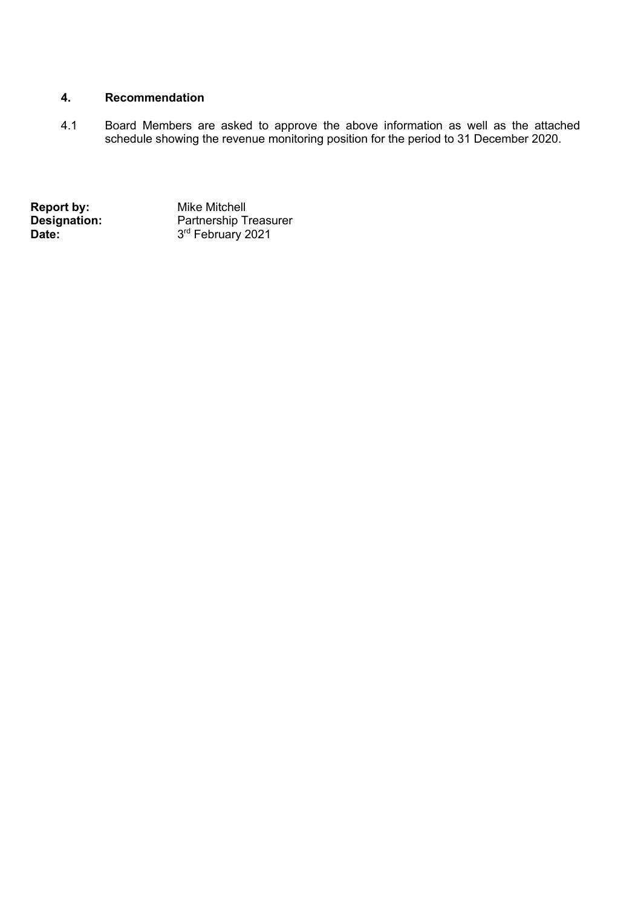# **4. Recommendation**

4.1 Board Members are asked to approve the above information as well as the attached schedule showing the revenue monitoring position for the period to 31 December 2020.

**Report by:**<br> **Designation:**<br> **Date:**<br> **Date:**<br> **Partnership Times:**<br>  $3^{\text{rd}}$  February 2 **Designation:** Partnership Treasurer **Date:** 3<sup>rd</sup> February 2021